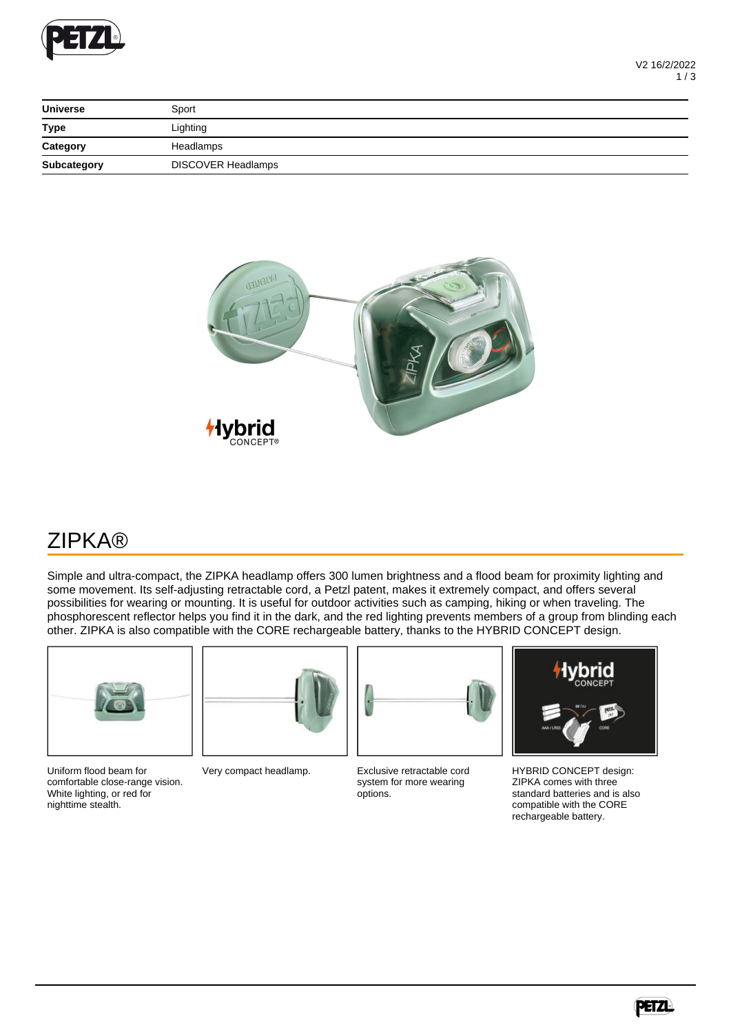

| <b>Universe</b>                                                                                                                                                                                                                                                                                                                                                                                                                                                                        | Sport                     |  |
|----------------------------------------------------------------------------------------------------------------------------------------------------------------------------------------------------------------------------------------------------------------------------------------------------------------------------------------------------------------------------------------------------------------------------------------------------------------------------------------|---------------------------|--|
| <b>Type</b>                                                                                                                                                                                                                                                                                                                                                                                                                                                                            | Lighting                  |  |
| Category<br>$\frac{1}{1} \left( \frac{1}{1} \right) \left( \frac{1}{1} \right) \left( \frac{1}{1} \right) \left( \frac{1}{1} \right) \left( \frac{1}{1} \right) \left( \frac{1}{1} \right) \left( \frac{1}{1} \right) \left( \frac{1}{1} \right) \left( \frac{1}{1} \right) \left( \frac{1}{1} \right) \left( \frac{1}{1} \right) \left( \frac{1}{1} \right) \left( \frac{1}{1} \right) \left( \frac{1}{1} \right) \left( \frac{1}{1} \right) \left( \frac{1}{1} \right) \left( \frac$ | Headlamps                 |  |
| Subcategory                                                                                                                                                                                                                                                                                                                                                                                                                                                                            | <b>DISCOVER Headlamps</b> |  |



## ZIPKA®

Simple and ultra-compact, the ZIPKA headlamp offers 300 lumen brightness and a flood beam for proximity lighting and some movement. Its self-adjusting retractable cord, a Petzl patent, makes it extremely compact, and offers several possibilities for wearing or mounting. It is useful for outdoor activities such as camping, hiking or when traveling. The phosphorescent reflector helps you find it in the dark, and the red lighting prevents members of a group from blinding each other. ZIPKA is also compatible with the CORE rechargeable battery, thanks to the HYBRID CONCEPT design.



Uniform flood beam for comfortable close-range vision. White lighting, or red for nighttime stealth.



Very compact headlamp. Exclusive retractable cord system for more wearing options.



HYBRID CONCEPT design: ZIPKA comes with three standard batteries and is also compatible with the CORE rechargeable battery.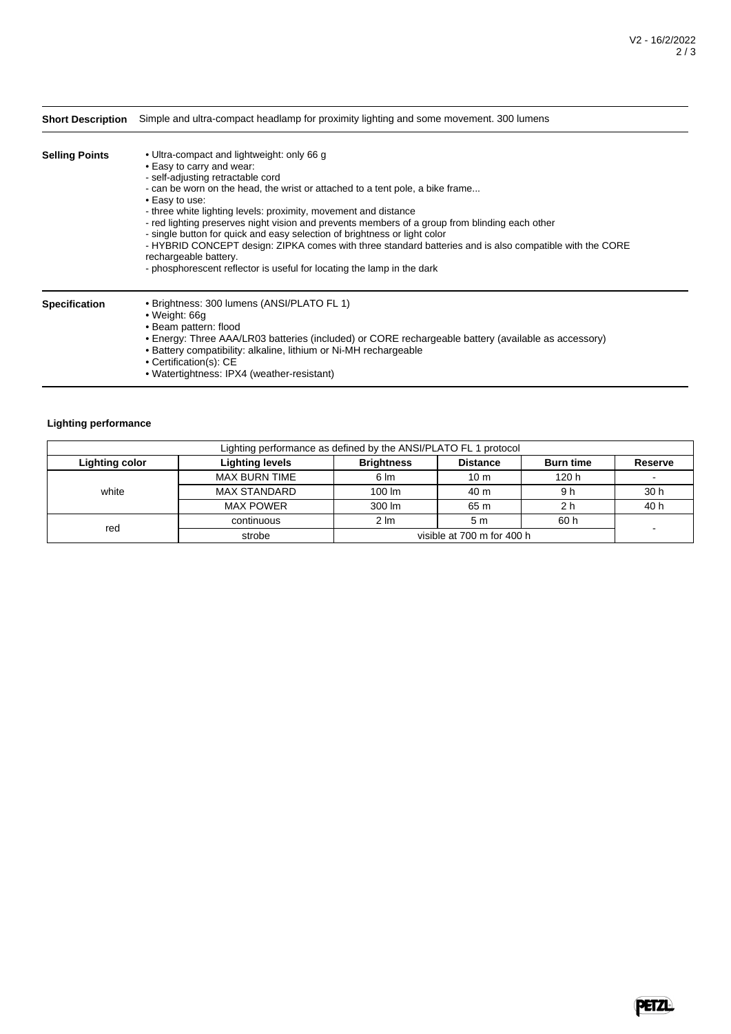| <b>Short Description</b> | Simple and ultra-compact headlamp for proximity lighting and some movement. 300 lumens                                                                                                                                                                                                                                                                                                                                                                                                                                                                                                                                                                                          |  |  |  |
|--------------------------|---------------------------------------------------------------------------------------------------------------------------------------------------------------------------------------------------------------------------------------------------------------------------------------------------------------------------------------------------------------------------------------------------------------------------------------------------------------------------------------------------------------------------------------------------------------------------------------------------------------------------------------------------------------------------------|--|--|--|
| <b>Selling Points</b>    | • Ultra-compact and lightweight: only 66 g<br>• Easy to carry and wear:<br>- self-adjusting retractable cord<br>- can be worn on the head, the wrist or attached to a tent pole, a bike frame<br>• Easy to use:<br>- three white lighting levels: proximity, movement and distance<br>- red lighting preserves night vision and prevents members of a group from blinding each other<br>- single button for quick and easy selection of brightness or light color<br>- HYBRID CONCEPT design: ZIPKA comes with three standard batteries and is also compatible with the CORE<br>rechargeable battery.<br>- phosphorescent reflector is useful for locating the lamp in the dark |  |  |  |
| <b>Specification</b>     | • Brightness: 300 lumens (ANSI/PLATO FL 1)<br>• Weight: 66g<br>• Beam pattern: flood<br>• Energy: Three AAA/LR03 batteries (included) or CORE rechargeable battery (available as accessory)<br>• Battery compatibility: alkaline, lithium or Ni-MH rechargeable<br>$O = 4H_{1} + 4H_{2} + 4H_{3} + 4H_{4}$                                                                                                                                                                                                                                                                                                                                                                      |  |  |  |

- Certification(s): CE
- Watertightness: IPX4 (weather-resistant)

## **Lighting performance**

| Lighting performance as defined by the ANSI/PLATO FL 1 protocol |                        |                    |                            |                  |                |  |
|-----------------------------------------------------------------|------------------------|--------------------|----------------------------|------------------|----------------|--|
| Lighting color                                                  | <b>Lighting levels</b> | <b>Brightness</b>  | <b>Distance</b>            | <b>Burn time</b> | <b>Reserve</b> |  |
|                                                                 | <b>MAX BURN TIME</b>   | $6 \, \text{Im}$   | 10 <sub>m</sub>            | 120 h            |                |  |
| white                                                           | <b>MAX STANDARD</b>    | $100 \, \text{Im}$ | 40 m                       | 9 h              | 30 h           |  |
|                                                                 | <b>MAX POWER</b>       | 300 lm             | 65 m                       | 2 h              | 40 h           |  |
|                                                                 | continuous             | $2 \, \text{Im}$   | 5 <sub>m</sub>             | 60 h             |                |  |
| red                                                             | strobe                 |                    | visible at 700 m for 400 h |                  |                |  |